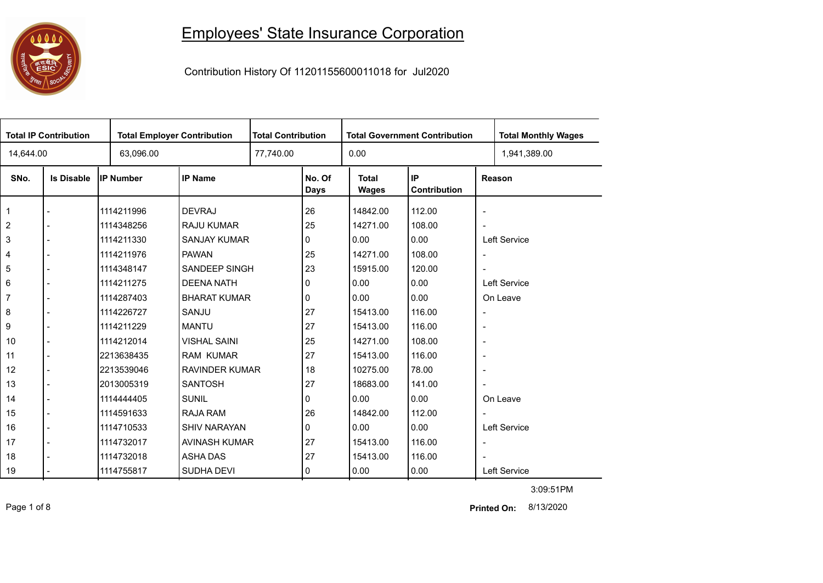## 

## Employees' State Insurance Corporation

Contribution History Of 11201155600011018 for Jul2020

| <b>Total IP Contribution</b> |                   |                  | <b>Total Employer Contribution</b> |  | <b>Total Contribution</b><br><b>Total Government Contribution</b> |                              |                    |                          | <b>Total Monthly Wages</b> |  |
|------------------------------|-------------------|------------------|------------------------------------|--|-------------------------------------------------------------------|------------------------------|--------------------|--------------------------|----------------------------|--|
| 14,644.00                    |                   | 63,096.00        |                                    |  |                                                                   | 0.00                         |                    |                          | 1,941,389.00               |  |
| SNo.                         | <b>Is Disable</b> | <b>IP Number</b> | <b>IP Name</b>                     |  | No. Of<br>Days                                                    | <b>Total</b><br><b>Wages</b> | IP<br>Contribution |                          | Reason                     |  |
| $\mathbf{1}$                 |                   | 1114211996       | <b>DEVRAJ</b>                      |  | 26                                                                | 14842.00                     | 112.00             | $\overline{\phantom{a}}$ |                            |  |
| $\sqrt{2}$                   |                   | 1114348256       | <b>RAJU KUMAR</b>                  |  | 25                                                                | 14271.00                     | 108.00             | $\overline{\phantom{a}}$ |                            |  |
| $\sqrt{3}$                   |                   | 1114211330       | <b>SANJAY KUMAR</b>                |  | 0                                                                 | 0.00                         | 0.00               |                          | Left Service               |  |
| 4                            |                   | 1114211976       | <b>PAWAN</b>                       |  | 25                                                                | 14271.00                     | 108.00             | $\overline{\phantom{a}}$ |                            |  |
| 5                            |                   | 1114348147       | SANDEEP SINGH                      |  | 23                                                                | 15915.00                     | 120.00             |                          |                            |  |
| 6                            |                   | 1114211275       | <b>DEENA NATH</b>                  |  | 0                                                                 | 0.00                         | 0.00               |                          | Left Service               |  |
| $\overline{7}$               |                   | 1114287403       | <b>BHARAT KUMAR</b>                |  | 0                                                                 | 0.00                         | 0.00               |                          | On Leave                   |  |
| 8                            |                   | 1114226727       | SANJU                              |  | 27                                                                | 15413.00                     | 116.00             | $\overline{\phantom{a}}$ |                            |  |
| 9                            |                   | 1114211229       | <b>MANTU</b>                       |  | 27                                                                | 15413.00                     | 116.00             | $\overline{\phantom{a}}$ |                            |  |
| 10                           |                   | 1114212014       | <b>VISHAL SAINI</b>                |  | 25                                                                | 14271.00                     | 108.00             | $\overline{\phantom{a}}$ |                            |  |
| 11                           |                   | 2213638435       | <b>RAM KUMAR</b>                   |  | 27                                                                | 15413.00                     | 116.00             | $\overline{\phantom{a}}$ |                            |  |
| 12                           |                   | 2213539046       | <b>RAVINDER KUMAR</b>              |  | 18                                                                | 10275.00                     | 78.00              | $\overline{\phantom{a}}$ |                            |  |
| 13                           |                   | 2013005319       | <b>SANTOSH</b>                     |  | 27                                                                | 18683.00                     | 141.00             |                          |                            |  |
| 14                           |                   | 1114444405       | <b>SUNIL</b>                       |  | 0                                                                 | 0.00                         | 0.00               |                          | On Leave                   |  |
| 15                           |                   | 1114591633       | RAJA RAM                           |  | 26                                                                | 14842.00                     | 112.00             |                          |                            |  |
| 16                           |                   | 1114710533       | <b>SHIV NARAYAN</b>                |  | 0                                                                 | 0.00                         | 0.00               |                          | Left Service               |  |
| 17                           |                   | 1114732017       | AVINASH KUMAR                      |  | 27                                                                | 15413.00                     | 116.00             | $\overline{\phantom{a}}$ |                            |  |
| 18                           |                   | 1114732018       | <b>ASHA DAS</b>                    |  | 27                                                                | 15413.00                     | 116.00             |                          |                            |  |
| 19                           |                   | 1114755817       | <b>SUDHA DEVI</b>                  |  | 0                                                                 | 0.00                         | 0.00               |                          | Left Service               |  |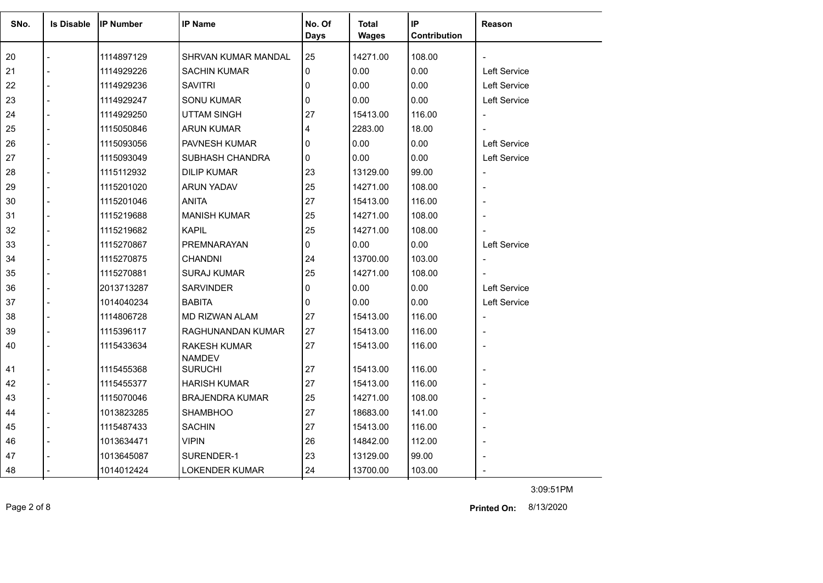| SNo. | <b>Is Disable</b> | <b>IIP Number</b> | <b>IP Name</b>                       | No. Of<br><b>Days</b> | <b>Total</b><br><b>Wages</b> | IP<br>Contribution | Reason                   |
|------|-------------------|-------------------|--------------------------------------|-----------------------|------------------------------|--------------------|--------------------------|
| 20   |                   | 1114897129        | SHRVAN KUMAR MANDAL                  | 25                    | 14271.00                     | 108.00             |                          |
| 21   |                   | 1114929226        | <b>SACHIN KUMAR</b>                  | 0                     | 0.00                         | 0.00               | Left Service             |
| 22   |                   | 1114929236        | <b>SAVITRI</b>                       | $\mathbf{0}$          | 0.00                         | 0.00               | Left Service             |
| 23   |                   | 1114929247        | <b>SONU KUMAR</b>                    | 0                     | 0.00                         | 0.00               | Left Service             |
| 24   |                   | 1114929250        | <b>UTTAM SINGH</b>                   | 27                    | 15413.00                     | 116.00             | $\overline{\phantom{a}}$ |
| 25   |                   | 1115050846        | <b>ARUN KUMAR</b>                    | 4                     | 2283.00                      | 18.00              |                          |
| 26   |                   | 1115093056        | PAVNESH KUMAR                        | $\Omega$              | 0.00                         | 0.00               | Left Service             |
| 27   |                   | 1115093049        | SUBHASH CHANDRA                      | $\mathbf{0}$          | 0.00                         | 0.00               | Left Service             |
| 28   |                   | 1115112932        | <b>DILIP KUMAR</b>                   | 23                    | 13129.00                     | 99.00              | $\overline{\phantom{a}}$ |
| 29   |                   | 1115201020        | <b>ARUN YADAV</b>                    | 25                    | 14271.00                     | 108.00             | $\blacksquare$           |
| 30   |                   | 1115201046        | <b>ANITA</b>                         | 27                    | 15413.00                     | 116.00             |                          |
| 31   |                   | 1115219688        | <b>MANISH KUMAR</b>                  | 25                    | 14271.00                     | 108.00             |                          |
| 32   |                   | 1115219682        | <b>KAPIL</b>                         | 25                    | 14271.00                     | 108.00             |                          |
| 33   |                   | 1115270867        | PREMNARAYAN                          | 0                     | 0.00                         | 0.00               | Left Service             |
| 34   |                   | 1115270875        | <b>CHANDNI</b>                       | 24                    | 13700.00                     | 103.00             | $\overline{\phantom{a}}$ |
| 35   |                   | 1115270881        | <b>SURAJ KUMAR</b>                   | 25                    | 14271.00                     | 108.00             |                          |
| 36   |                   | 2013713287        | <b>SARVINDER</b>                     | 0                     | 0.00                         | 0.00               | <b>Left Service</b>      |
| 37   |                   | 1014040234        | <b>BABITA</b>                        | 0                     | 0.00                         | 0.00               | Left Service             |
| 38   |                   | 1114806728        | <b>MD RIZWAN ALAM</b>                | 27                    | 15413.00                     | 116.00             |                          |
| 39   |                   | 1115396117        | RAGHUNANDAN KUMAR                    | 27                    | 15413.00                     | 116.00             |                          |
| 40   |                   | 1115433634        | <b>RAKESH KUMAR</b><br><b>NAMDEV</b> | 27                    | 15413.00                     | 116.00             | $\overline{a}$           |
| 41   |                   | 1115455368        | <b>SURUCHI</b>                       | 27                    | 15413.00                     | 116.00             | $\overline{a}$           |
| 42   |                   | 1115455377        | <b>HARISH KUMAR</b>                  | 27                    | 15413.00                     | 116.00             |                          |
| 43   |                   | 1115070046        | <b>BRAJENDRA KUMAR</b>               | 25                    | 14271.00                     | 108.00             | $\overline{a}$           |
| 44   |                   | 1013823285        | <b>SHAMBHOO</b>                      | 27                    | 18683.00                     | 141.00             |                          |
| 45   |                   | 1115487433        | <b>SACHIN</b>                        | 27                    | 15413.00                     | 116.00             | $\overline{\phantom{0}}$ |
| 46   |                   | 1013634471        | <b>VIPIN</b>                         | 26                    | 14842.00                     | 112.00             |                          |
| 47   |                   | 1013645087        | SURENDER-1                           | 23                    | 13129.00                     | 99.00              |                          |
| 48   |                   | 1014012424        | <b>LOKENDER KUMAR</b>                | 24                    | 13700.00                     | 103.00             |                          |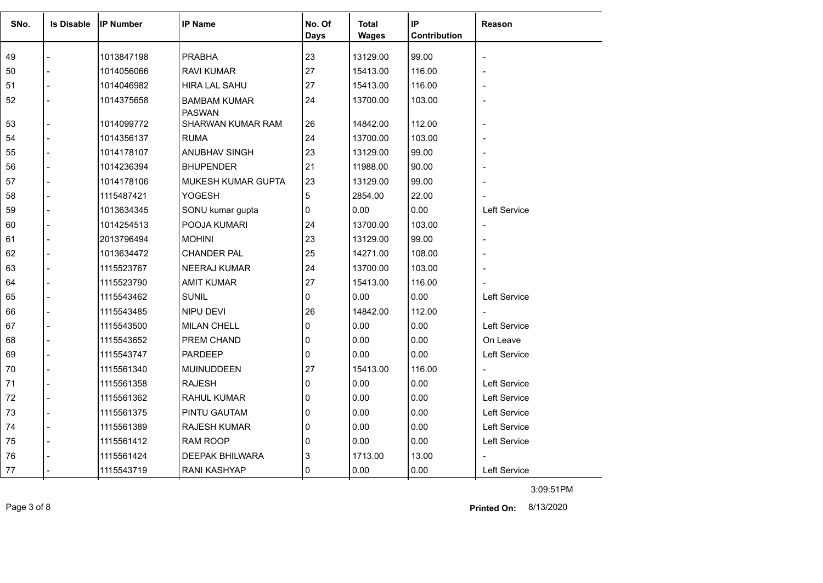| SNo. | <b>Is Disable</b> | <b>IP Number</b> | <b>IP Name</b>                       | No. Of       | <b>Total</b> | IP           | <b>Reason</b>            |
|------|-------------------|------------------|--------------------------------------|--------------|--------------|--------------|--------------------------|
|      |                   |                  |                                      | <b>Days</b>  | <b>Wages</b> | Contribution |                          |
| 49   |                   | 1013847198       | <b>PRABHA</b>                        | 23           | 13129.00     | 99.00        |                          |
| 50   |                   | 1014056066       | <b>RAVI KUMAR</b>                    | 27           | 15413.00     | 116.00       |                          |
| 51   |                   | 1014046982       | <b>HIRA LAL SAHU</b>                 | 27           | 15413.00     | 116.00       |                          |
| 52   |                   | 1014375658       | <b>BAMBAM KUMAR</b><br><b>PASWAN</b> | 24           | 13700.00     | 103.00       |                          |
| 53   |                   | 1014099772       | SHARWAN KUMAR RAM                    | 26           | 14842.00     | 112.00       | $\overline{a}$           |
| 54   |                   | 1014356137       | <b>RUMA</b>                          | 24           | 13700.00     | 103.00       |                          |
| 55   |                   | 1014178107       | ANUBHAV SINGH                        | 23           | 13129.00     | 99.00        |                          |
| 56   |                   | 1014236394       | <b>BHUPENDER</b>                     | 21           | 11988.00     | 90.00        |                          |
| 57   |                   | 1014178106       | MUKESH KUMAR GUPTA                   | 23           | 13129.00     | 99.00        |                          |
| 58   |                   | 1115487421       | <b>YOGESH</b>                        | 5            | 2854.00      | 22.00        |                          |
| 59   |                   | 1013634345       | SONU kumar gupta                     | 0            | 0.00         | 0.00         | Left Service             |
| 60   |                   | 1014254513       | POOJA KUMARI                         | 24           | 13700.00     | 103.00       | $\overline{\phantom{a}}$ |
| 61   |                   | 2013796494       | <b>MOHINI</b>                        | 23           | 13129.00     | 99.00        |                          |
| 62   |                   | 1013634472       | <b>CHANDER PAL</b>                   | 25           | 14271.00     | 108.00       |                          |
| 63   |                   | 1115523767       | NEERAJ KUMAR                         | 24           | 13700.00     | 103.00       |                          |
| 64   |                   | 1115523790       | <b>AMIT KUMAR</b>                    | 27           | 15413.00     | 116.00       |                          |
| 65   |                   | 1115543462       | <b>SUNIL</b>                         | 0            | 0.00         | 0.00         | Left Service             |
| 66   |                   | 1115543485       | NIPU DEVI                            | 26           | 14842.00     | 112.00       |                          |
| 67   |                   | 1115543500       | <b>MILAN CHELL</b>                   | $\Omega$     | 0.00         | 0.00         | Left Service             |
| 68   |                   | 1115543652       | <b>PREM CHAND</b>                    | 0            | 0.00         | 0.00         | On Leave                 |
| 69   |                   | 1115543747       | <b>PARDEEP</b>                       | 0            | 0.00         | 0.00         | Left Service             |
| 70   |                   | 1115561340       | <b>MUINUDDEEN</b>                    | 27           | 15413.00     | 116.00       |                          |
| 71   |                   | 1115561358       | <b>RAJESH</b>                        | 0            | 0.00         | 0.00         | Left Service             |
| 72   |                   | 1115561362       | <b>RAHUL KUMAR</b>                   | 0            | 0.00         | 0.00         | Left Service             |
| 73   |                   | 1115561375       | PINTU GAUTAM                         | $\mathbf{0}$ | 0.00         | 0.00         | <b>Left Service</b>      |
| 74   |                   | 1115561389       | <b>RAJESH KUMAR</b>                  | 0            | 0.00         | 0.00         | Left Service             |
| 75   |                   | 1115561412       | <b>RAM ROOP</b>                      | 0            | 0.00         | 0.00         | Left Service             |
| 76   |                   | 1115561424       | <b>DEEPAK BHILWARA</b>               | 3            | 1713.00      | 13.00        |                          |
| 77   |                   | 1115543719       | <b>RANI KASHYAP</b>                  | $\Omega$     | 0.00         | 0.00         | Left Service             |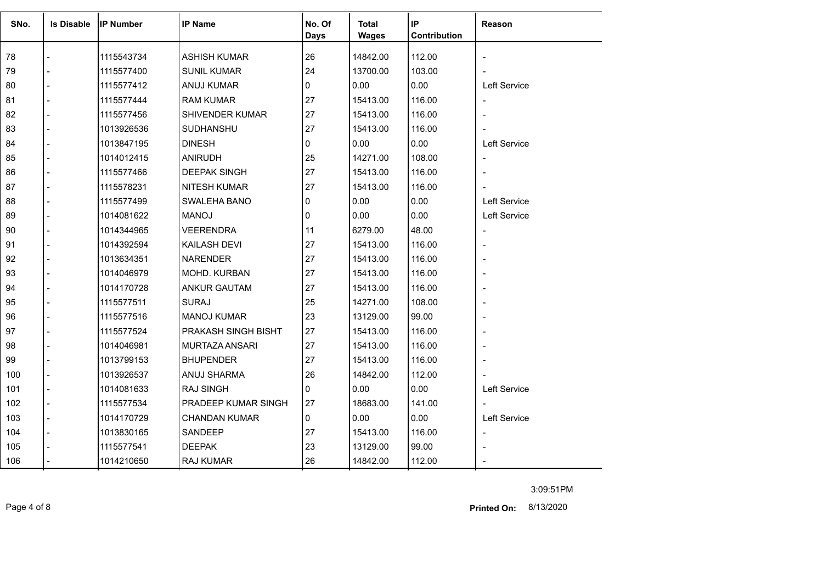| SNo. | <b>Is Disable</b> | <b>IP Number</b> | <b>IP Name</b>       | No. Of | <b>Total</b> | IP           | <b>Reason</b>            |
|------|-------------------|------------------|----------------------|--------|--------------|--------------|--------------------------|
|      |                   |                  |                      | Days   | <b>Wages</b> | Contribution |                          |
| 78   |                   | 1115543734       | <b>ASHISH KUMAR</b>  | 26     | 14842.00     | 112.00       |                          |
| 79   |                   | 1115577400       | <b>SUNIL KUMAR</b>   | 24     | 13700.00     | 103.00       |                          |
| 80   |                   | 1115577412       | ANUJ KUMAR           | 0      | 0.00         | 0.00         | Left Service             |
| 81   |                   | 1115577444       | <b>RAM KUMAR</b>     | 27     | 15413.00     | 116.00       |                          |
| 82   |                   | 1115577456       | SHIVENDER KUMAR      | 27     | 15413.00     | 116.00       |                          |
| 83   |                   | 1013926536       | SUDHANSHU            | 27     | 15413.00     | 116.00       |                          |
| 84   |                   | 1013847195       | <b>DINESH</b>        | 0      | 0.00         | 0.00         | <b>Left Service</b>      |
| 85   |                   | 1014012415       | <b>ANIRUDH</b>       | 25     | 14271.00     | 108.00       | $\overline{\phantom{a}}$ |
| 86   |                   | 1115577466       | <b>DEEPAK SINGH</b>  | 27     | 15413.00     | 116.00       |                          |
| 87   |                   | 1115578231       | NITESH KUMAR         | 27     | 15413.00     | 116.00       |                          |
| 88   |                   | 1115577499       | SWALEHA BANO         | 0      | 0.00         | 0.00         | <b>Left Service</b>      |
| 89   |                   | 1014081622       | <b>MANOJ</b>         | 0      | 0.00         | 0.00         | Left Service             |
| 90   |                   | 1014344965       | <b>VEERENDRA</b>     | 11     | 6279.00      | 48.00        |                          |
| 91   |                   | 1014392594       | KAILASH DEVI         | 27     | 15413.00     | 116.00       |                          |
| 92   |                   | 1013634351       | <b>NARENDER</b>      | 27     | 15413.00     | 116.00       |                          |
| 93   |                   | 1014046979       | MOHD. KURBAN         | 27     | 15413.00     | 116.00       |                          |
| 94   |                   | 1014170728       | ANKUR GAUTAM         | 27     | 15413.00     | 116.00       |                          |
| 95   |                   | 1115577511       | <b>SURAJ</b>         | 25     | 14271.00     | 108.00       |                          |
| 96   |                   | 1115577516       | <b>MANOJ KUMAR</b>   | 23     | 13129.00     | 99.00        |                          |
| 97   |                   | 1115577524       | PRAKASH SINGH BISHT  | 27     | 15413.00     | 116.00       |                          |
| 98   |                   | 1014046981       | MURTAZA ANSARI       | 27     | 15413.00     | 116.00       |                          |
| 99   |                   | 1013799153       | <b>BHUPENDER</b>     | 27     | 15413.00     | 116.00       |                          |
| 100  |                   | 1013926537       | ANUJ SHARMA          | 26     | 14842.00     | 112.00       |                          |
| 101  |                   | 1014081633       | <b>RAJ SINGH</b>     | 0      | 0.00         | 0.00         | <b>Left Service</b>      |
| 102  |                   | 1115577534       | PRADEEP KUMAR SINGH  | 27     | 18683.00     | 141.00       |                          |
| 103  |                   | 1014170729       | <b>CHANDAN KUMAR</b> | 0      | 0.00         | 0.00         | Left Service             |
| 104  |                   | 1013830165       | SANDEEP              | 27     | 15413.00     | 116.00       | $\overline{\phantom{a}}$ |
| 105  |                   | 1115577541       | <b>DEEPAK</b>        | 23     | 13129.00     | 99.00        |                          |
| 106  |                   | 1014210650       | RAJ KUMAR            | 26     | 14842.00     | 112.00       |                          |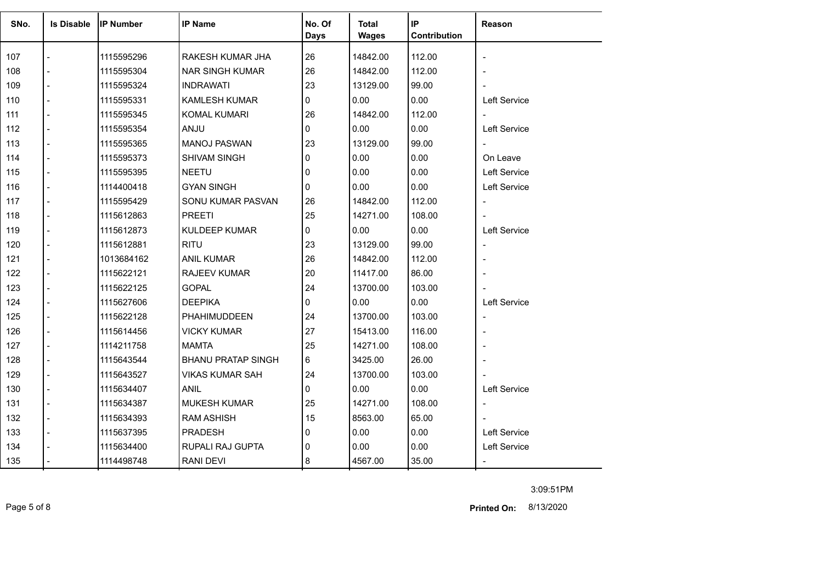| SNo. | <b>Is Disable</b> | <b>IP Number</b> | <b>IP Name</b>            | No. Of       | <b>Total</b> | IP           | Reason                   |
|------|-------------------|------------------|---------------------------|--------------|--------------|--------------|--------------------------|
|      |                   |                  |                           | <b>Days</b>  | <b>Wages</b> | Contribution |                          |
| 107  |                   | 1115595296       | RAKESH KUMAR JHA          | 26           | 14842.00     | 112.00       | $\overline{\phantom{a}}$ |
| 108  |                   | 1115595304       | <b>NAR SINGH KUMAR</b>    | 26           | 14842.00     | 112.00       |                          |
| 109  |                   | 1115595324       | <b>INDRAWATI</b>          | 23           | 13129.00     | 99.00        |                          |
| 110  |                   | 1115595331       | <b>KAMLESH KUMAR</b>      | 0            | 0.00         | 0.00         | Left Service             |
| 111  |                   | 1115595345       | <b>KOMAL KUMARI</b>       | 26           | 14842.00     | 112.00       | $\blacksquare$           |
| 112  |                   | 1115595354       | <b>ANJU</b>               | 0            | 0.00         | 0.00         | <b>Left Service</b>      |
| 113  |                   | 1115595365       | <b>MANOJ PASWAN</b>       | 23           | 13129.00     | 99.00        | $\overline{\phantom{a}}$ |
| 114  | $\overline{a}$    | 1115595373       | <b>SHIVAM SINGH</b>       | 0            | 0.00         | 0.00         | On Leave                 |
| 115  |                   | 1115595395       | <b>NEETU</b>              | $\mathbf{0}$ | 0.00         | 0.00         | Left Service             |
| 116  |                   | 1114400418       | <b>GYAN SINGH</b>         | 0            | 0.00         | 0.00         | Left Service             |
| 117  |                   | 1115595429       | SONU KUMAR PASVAN         | 26           | 14842.00     | 112.00       | $\blacksquare$           |
| 118  |                   | 1115612863       | <b>PREETI</b>             | 25           | 14271.00     | 108.00       |                          |
| 119  |                   | 1115612873       | <b>KULDEEP KUMAR</b>      | 0            | 0.00         | 0.00         | Left Service             |
| 120  |                   | 1115612881       | <b>RITU</b>               | 23           | 13129.00     | 99.00        | $\blacksquare$           |
| 121  |                   | 1013684162       | ANIL KUMAR                | 26           | 14842.00     | 112.00       |                          |
| 122  |                   | 1115622121       | <b>RAJEEV KUMAR</b>       | 20           | 11417.00     | 86.00        |                          |
| 123  |                   | 1115622125       | <b>GOPAL</b>              | 24           | 13700.00     | 103.00       |                          |
| 124  |                   | 1115627606       | <b>DEEPIKA</b>            | 0            | 0.00         | 0.00         | <b>Left Service</b>      |
| 125  |                   | 1115622128       | PHAHIMUDDEEN              | 24           | 13700.00     | 103.00       | $\overline{a}$           |
| 126  |                   | 1115614456       | <b>VICKY KUMAR</b>        | 27           | 15413.00     | 116.00       |                          |
| 127  |                   | 1114211758       | <b>MAMTA</b>              | 25           | 14271.00     | 108.00       |                          |
| 128  |                   | 1115643544       | <b>BHANU PRATAP SINGH</b> | 6            | 3425.00      | 26.00        |                          |
| 129  |                   | 1115643527       | <b>VIKAS KUMAR SAH</b>    | 24           | 13700.00     | 103.00       |                          |
| 130  |                   | 1115634407       | ANIL.                     | 0            | 0.00         | 0.00         | Left Service             |
| 131  |                   | 1115634387       | <b>MUKESH KUMAR</b>       | 25           | 14271.00     | 108.00       | $\overline{\phantom{a}}$ |
| 132  |                   | 1115634393       | <b>RAM ASHISH</b>         | 15           | 8563.00      | 65.00        |                          |
| 133  |                   | 1115637395       | <b>PRADESH</b>            | 0            | 0.00         | 0.00         | Left Service             |
| 134  |                   | 1115634400       | RUPALI RAJ GUPTA          | $\mathbf{0}$ | 0.00         | 0.00         | Left Service             |
| 135  |                   | 1114498748       | RANI DEVI                 | 8            | 4567.00      | 35.00        |                          |
|      |                   |                  |                           |              |              |              |                          |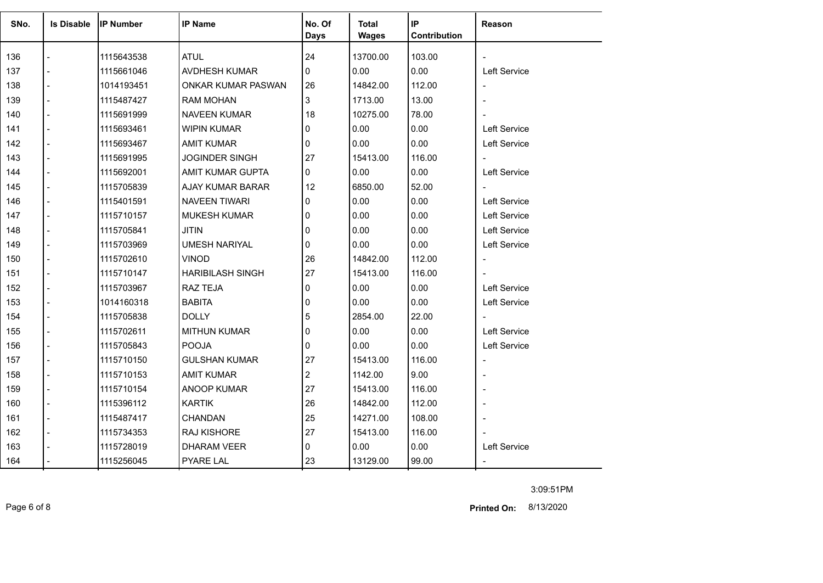| SNo. | <b>Is Disable</b>        | <b>IP Number</b> | <b>IP Name</b>          | No. Of       | <b>Total</b> | IP           | Reason                   |
|------|--------------------------|------------------|-------------------------|--------------|--------------|--------------|--------------------------|
|      |                          |                  |                         | <b>Days</b>  | <b>Wages</b> | Contribution |                          |
| 136  |                          | 1115643538       | <b>ATUL</b>             | 24           | 13700.00     | 103.00       |                          |
| 137  |                          | 1115661046       | AVDHESH KUMAR           | $\Omega$     | 0.00         | 0.00         | <b>Left Service</b>      |
| 138  |                          | 1014193451       | ONKAR KUMAR PASWAN      | 26           | 14842.00     | 112.00       |                          |
| 139  |                          | 1115487427       | <b>RAM MOHAN</b>        | 3            | 1713.00      | 13.00        |                          |
| 140  |                          | 1115691999       | NAVEEN KUMAR            | 18           | 10275.00     | 78.00        |                          |
| 141  |                          | 1115693461       | <b>WIPIN KUMAR</b>      | 0            | 0.00         | 0.00         | Left Service             |
| 142  | $\overline{\phantom{a}}$ | 1115693467       | AMIT KUMAR              | 0            | 0.00         | 0.00         | Left Service             |
| 143  | $\overline{\phantom{a}}$ | 1115691995       | <b>JOGINDER SINGH</b>   | 27           | 15413.00     | 116.00       | $\blacksquare$           |
| 144  |                          | 1115692001       | AMIT KUMAR GUPTA        | 0            | 0.00         | 0.00         | Left Service             |
| 145  | $\overline{a}$           | 1115705839       | AJAY KUMAR BARAR        | 12           | 6850.00      | 52.00        |                          |
| 146  |                          | 1115401591       | NAVEEN TIWARI           | 0            | 0.00         | 0.00         | <b>Left Service</b>      |
| 147  |                          | 1115710157       | <b>MUKESH KUMAR</b>     | $\mathbf{0}$ | 0.00         | 0.00         | <b>Left Service</b>      |
| 148  |                          | 1115705841       | <b>JITIN</b>            | $\mathbf{0}$ | 0.00         | 0.00         | <b>Left Service</b>      |
| 149  |                          | 1115703969       | <b>UMESH NARIYAL</b>    | 0            | 0.00         | 0.00         | Left Service             |
| 150  |                          | 1115702610       | VINOD                   | 26           | 14842.00     | 112.00       | $\overline{\phantom{a}}$ |
| 151  |                          | 1115710147       | <b>HARIBILASH SINGH</b> | 27           | 15413.00     | 116.00       |                          |
| 152  |                          | 1115703967       | <b>RAZ TEJA</b>         | 0            | 0.00         | 0.00         | Left Service             |
| 153  |                          | 1014160318       | <b>BABITA</b>           | 0            | 0.00         | 0.00         | Left Service             |
| 154  |                          | 1115705838       | <b>DOLLY</b>            | 5            | 2854.00      | 22.00        |                          |
| 155  |                          | 1115702611       | <b>MITHUN KUMAR</b>     | $\Omega$     | 0.00         | 0.00         | Left Service             |
| 156  |                          | 1115705843       | <b>POOJA</b>            | 0            | 0.00         | 0.00         | Left Service             |
| 157  |                          | 1115710150       | <b>GULSHAN KUMAR</b>    | 27           | 15413.00     | 116.00       |                          |
| 158  |                          | 1115710153       | <b>AMIT KUMAR</b>       | 2            | 1142.00      | 9.00         |                          |
| 159  | $\overline{a}$           | 1115710154       | ANOOP KUMAR             | 27           | 15413.00     | 116.00       |                          |
| 160  |                          | 1115396112       | <b>KARTIK</b>           | 26           | 14842.00     | 112.00       |                          |
| 161  | $\blacksquare$           | 1115487417       | CHANDAN                 | 25           | 14271.00     | 108.00       |                          |
| 162  |                          | 1115734353       | <b>RAJ KISHORE</b>      | 27           | 15413.00     | 116.00       |                          |
| 163  |                          | 1115728019       | <b>DHARAM VEER</b>      | 0            | 0.00         | 0.00         | Left Service             |
| 164  |                          | 1115256045       | <b>PYARE LAL</b>        | 23           | 13129.00     | 99.00        |                          |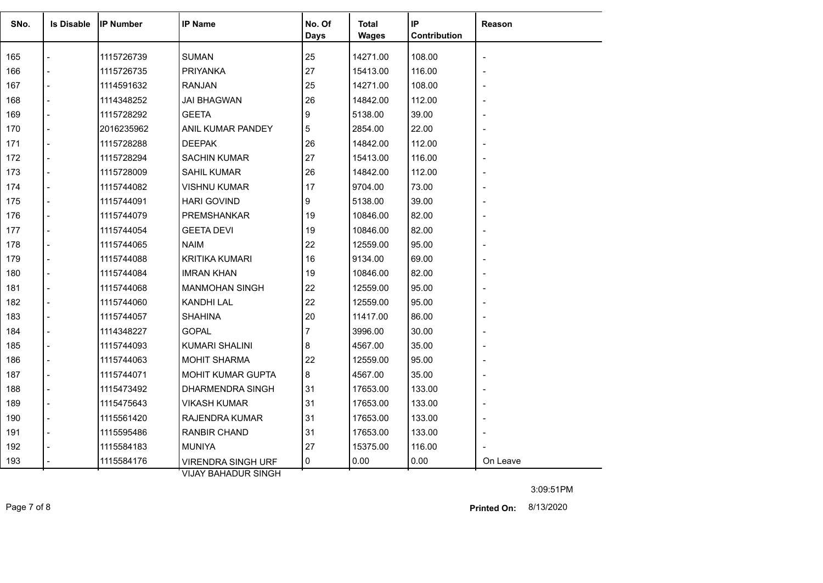| SNo. | <b>Is Disable</b> | <b>IP Number</b> | <b>IP Name</b>                                              | No. Of<br><b>Days</b> | Total<br><b>Wages</b> | IP<br>Contribution | Reason   |
|------|-------------------|------------------|-------------------------------------------------------------|-----------------------|-----------------------|--------------------|----------|
| 165  |                   | 1115726739       | <b>SUMAN</b>                                                | 25                    | 14271.00              | 108.00             |          |
| 166  |                   | 1115726735       | <b>PRIYANKA</b>                                             | 27                    | 15413.00              | 116.00             |          |
| 167  | $\overline{a}$    | 1114591632       | RANJAN                                                      | 25                    | 14271.00              | 108.00             |          |
| 168  |                   | 1114348252       | <b>JAI BHAGWAN</b>                                          | 26                    | 14842.00              | 112.00             |          |
| 169  |                   | 1115728292       | <b>GEETA</b>                                                | 9                     | 5138.00               | 39.00              |          |
| 170  |                   | 2016235962       | ANIL KUMAR PANDEY                                           | 5                     | 2854.00               | 22.00              |          |
| 171  |                   | 1115728288       | <b>DEEPAK</b>                                               | 26                    | 14842.00              | 112.00             |          |
| 172  |                   | 1115728294       | <b>SACHIN KUMAR</b>                                         | 27                    | 15413.00              | 116.00             |          |
| 173  | $\overline{a}$    | 1115728009       | SAHIL KUMAR                                                 | 26                    | 14842.00              | 112.00             |          |
| 174  |                   | 1115744082       | <b>VISHNU KUMAR</b>                                         | 17                    | 9704.00               | 73.00              |          |
| 175  |                   | 1115744091       | <b>HARI GOVIND</b>                                          | 9                     | 5138.00               | 39.00              |          |
| 176  |                   | 1115744079       | PREMSHANKAR                                                 | 19                    | 10846.00              | 82.00              |          |
| 177  |                   | 1115744054       | <b>GEETA DEVI</b>                                           | 19                    | 10846.00              | 82.00              |          |
| 178  |                   | 1115744065       | <b>NAIM</b>                                                 | 22                    | 12559.00              | 95.00              |          |
| 179  |                   | 1115744088       | <b>KRITIKA KUMARI</b>                                       | 16                    | 9134.00               | 69.00              |          |
| 180  |                   | 1115744084       | <b>IMRAN KHAN</b>                                           | 19                    | 10846.00              | 82.00              |          |
| 181  |                   | 1115744068       | <b>MANMOHAN SINGH</b>                                       | 22                    | 12559.00              | 95.00              |          |
| 182  |                   | 1115744060       | <b>KANDHI LAL</b>                                           | 22                    | 12559.00              | 95.00              |          |
| 183  |                   | 1115744057       | <b>SHAHINA</b>                                              | 20                    | 11417.00              | 86.00              |          |
| 184  |                   | 1114348227       | <b>GOPAL</b>                                                | 7                     | 3996.00               | 30.00              |          |
| 185  |                   | 1115744093       | <b>KUMARI SHALINI</b>                                       | 8                     | 4567.00               | 35.00              |          |
| 186  |                   | 1115744063       | <b>MOHIT SHARMA</b>                                         | 22                    | 12559.00              | 95.00              |          |
| 187  |                   | 1115744071       | MOHIT KUMAR GUPTA                                           | 8                     | 4567.00               | 35.00              |          |
| 188  |                   | 1115473492       | DHARMENDRA SINGH                                            | 31                    | 17653.00              | 133.00             |          |
| 189  |                   | 1115475643       | <b>VIKASH KUMAR</b>                                         | 31                    | 17653.00              | 133.00             |          |
| 190  |                   | 1115561420       | RAJENDRA KUMAR                                              | 31                    | 17653.00              | 133.00             |          |
| 191  |                   | 1115595486       | <b>RANBIR CHAND</b>                                         | 31                    | 17653.00              | 133.00             |          |
| 192  |                   | 1115584183       | <b>MUNIYA</b>                                               | 27                    | 15375.00              | 116.00             |          |
| 193  |                   | 1115584176       | <b>VIRENDRA SINGH URF</b><br><b>VEHAV DALLA DUD QINIQUE</b> | 0                     | 0.00                  | 0.00               | On Leave |

VIJAY BAHADUR SINGH

Page 7 of 8 8/13/2020 **Printed On:**